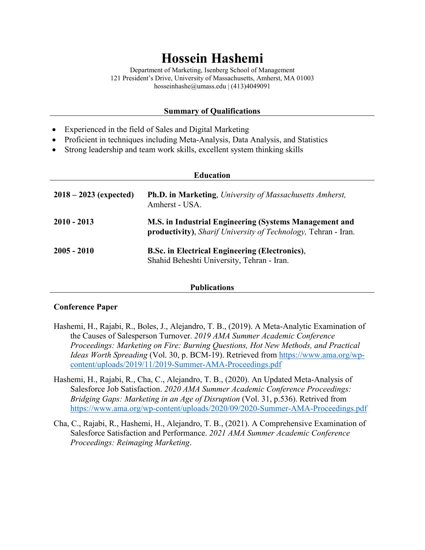# **Hossein Hashemi**

Department of Marketing, Isenberg School of Management 121 President's Drive, University of Massachusetts, Amherst, MA 01003 hosseinhashe@umass.edu | (413)4049091

## **Summary of Qualifications**

- Experienced in the field of Sales and Digital Marketing
- Proficient in techniques including Meta-Analysis, Data Analysis, and Statistics
- Strong leadership and team work skills, excellent system thinking skills

| <b>Education</b>         |                                                                                                                          |  |
|--------------------------|--------------------------------------------------------------------------------------------------------------------------|--|
| $2018 - 2023$ (expected) | <b>Ph.D. in Marketing, University of Massachusetts Amherst,</b><br>Amherst - USA.                                        |  |
| $2010 - 2013$            | M.S. in Industrial Engineering (Systems Management and<br>productivity), Sharif University of Technology, Tehran - Iran. |  |
| $2005 - 2010$            | <b>B.Sc. in Electrical Engineering (Electronics),</b><br>Shahid Beheshti University, Tehran - Iran.                      |  |

#### **Publications**

### **Conference Paper**

- Hashemi, H., Rajabi, R., Boles, J., Alejandro, T. B., (2019). A Meta-Analytic Examination of the Causes of Salesperson Turnover. *2019 AMA Summer Academic Conference Proceedings: Marketing on Fire: Burning Questions, Hot New Methods, and Practical Ideas Worth Spreading* (Vol. 30, p. BCM-19). Retrieved from [https://www.ama.org/wp](https://www.ama.org/wp-content/uploads/2019/11/2019-Summer-AMA-Proceedings.pdf)[content/uploads/2019/11/2019-Summer-AMA-Proceedings.pdf](https://www.ama.org/wp-content/uploads/2019/11/2019-Summer-AMA-Proceedings.pdf)
- Hashemi, H., Rajabi, R., Cha, C., Alejandro, T. B., (2020). An Updated Meta-Analysis of Salesforce Job Satisfaction. *2020 AMA Summer Academic Conference Proceedings: Bridging Gaps: Marketing in an Age of Disruption* (Vol. 31, p.536). Retrived from <https://www.ama.org/wp-content/uploads/2020/09/2020-Summer-AMA-Proceedings.pdf>
- Cha, C., Rajabi, R., Hashemi, H., Alejandro, T. B., (2021). A Comprehensive Examination of Salesforce Satisfaction and Performance. *2021 AMA Summer Academic Conference Proceedings: Reimaging Marketing*.